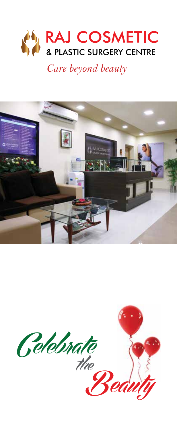

*Care beyond beauty*



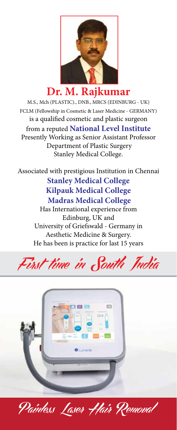

# **Dr. M. Rajkumar**

M.S., Mch (PLASTIC)., DNB., MRCS (EDINBURG - UK) FCLM (Fellowship in Cosmetic & Laser Medicine - GERMANY) is a qualified cosmetic and plastic surgeon from a reputed **National Level Institute** Presently Working as Senior Assistant Professor Department of Plastic Surgery Stanley Medical College.

Associated with prestigious Institution in Chennai **Stanley Medical College Kilpauk Medical College Madras Medical College**

> Has International experience from Edinburg, UK and University of Griefswald - Germany in Aesthetic Medicine & Surgery. He has been is practice for last 15 years





Painless Laser Hair Removal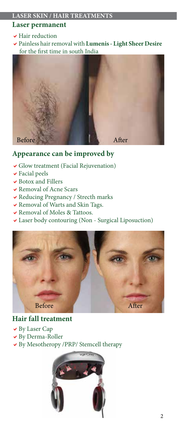# **Laser permanent**

- $\blacktriangleright$  Hair reduction
- aPainless hair removal with **Lumenis Light Sheer Desire** for the first time in south India



# **Appearance can be improved by**

- $\vee$  Glow treatment (Facial Rejuvenation)
- $\blacktriangleright$  Facial peels
- $\blacktriangleright$  Botox and Fillers
- $\vee$  Removal of Acne Scars
- $\blacktriangleright$  Reducing Pregnancy / Strecth marks
- $\blacktriangleright$  Removal of Warts and Skin Tags.
- $\blacktriangleright$  Removal of Moles & Tattoos.
- Laser body contouring (Non Surgical Liposuction)



# **Hair fall treatment**

- $\vee$  By Laser Cap
- $\vee$  By Derma-Roller
- By Mesotheropy /PRP/ Stemcell therapy

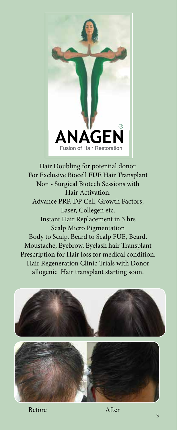

Hair Doubling for potential donor. For Exclusive Biocell **FUE** Hair Transplant Non - Surgical Biotech Sessions with Hair Activation. Advance PRP, DP Cell, Growth Factors, Laser, Collegen etc. Instant Hair Replacement in 3 hrs Scalp Micro Pigmentation Body to Scalp, Beard to Scalp FUE, Beard, Moustache, Eyebrow, Eyelash hair Transplant Prescription for Hair loss for medical condition. Hair Regeneration Clinic Trials with Donor allogenic Hair transplant starting soon.

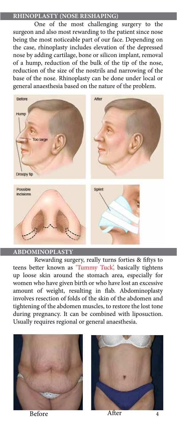## **RHINOPLASTY (NOSE RESHAPING)**

One of the most challenging surgery to the surgeon and also most rewarding to the patient since nose being the most noticeable part of our face. Depending on the case, rhinoplasty includes elevation of the depressed nose by adding cartilage, bone or silicon implant, removal of a hump, reduction of the bulk of the tip of the nose, reduction of the size of the nostrils and narrowing of the base of the nose. Rhinoplasty can be done under local or general anaesthesia based on the nature of the problem.



### **ABDOMINOPLASTY**

Rewarding surgery, really turns forties & fiftys to teens better known as 'Tummy Tuck', basically tightens up loose skin around the stomach area, especially for women who have given birth or who have lost an excessive amount of weight, resulting in flab. Abdominoplasty involves resection of folds of the skin of the abdomen and tightening of the abdomen muscles, to restore the lost tone during pregnancy. It can be combined with liposuction. Usually requires regional or general anaesthesia.





Before After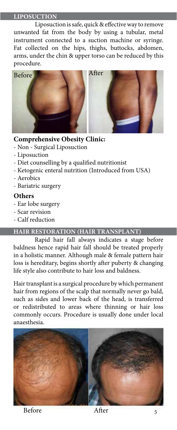#### **LIPOSUCTION**

Liposuction is safe, quick & effective way to remove unwanted fat from the body by using a tubular, metal instrument connected to a suction machine or syringe. Fat collected on the hips, thighs, buttocks, abdomen, arms, under the chin & upper torso can be reduced by this procedure.



## **Comprehensive Obesity Clinic:**

- Non Surgical Liposuction
- Liposuction
- Diet counselling by a qualified nutritionist
- Ketogenic enteral nutrition (Introduced from USA)
- Aerobics
- Bariatric surgery

## **Others**

- Ear lobe surgery
- Scar revision
- Calf reduction

# **HAIR RESTORATION (HAIR TRANSPLANT)**

Rapid hair fall always indicates a stage before baldness hence rapid hair fall should be treated properly in a holistic manner. Although male & female pattern hair loss is hereditary, begins shortly after puberty & changing life style also contribute to hair loss and baldness.

Hair transplant is a surgical procedure by which permanent hair from regions of the scalp that normally never go bald, such as sides and lower back of the head, is transferred or redistributed to areas where thinning or hair loss commonly occurs. Procedure is usually done under local anaesthesia.

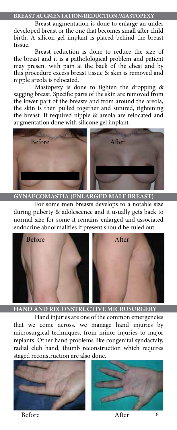**BREAST AUGMENTATION/REDUCTION /MASTOPEXY**

Breast augmentation is done to enlarge an under developed breast or the one that becomes small after child birth. A silicon gel implant is placed behind the breast tissue.

 Breast reduction is done to reduce the size of the breast and it is a patholological problem and patient may present with pain at the back of the chest and by this procedure excess breast tissue & skin is removed and nipple areola is relocated.

 Mastopexy is done to tighten the dropping & sagging breast. Specific parts of the skin are removed from the lower part of the breasts and from around the areola, the skin is then pulled together and sutured, tightening the breast. If required nipple & areola are relocated and augmentation done with silicone gel implant.



**GYNAECOMASTIA (ENLARGED MALE BREAST)**

 For some men breasts develops to a notable size during puberty & adolescence and it usually gets back to normal size for some it remains enlarged and associated endocrine abnormalities if present should be ruled out.



**HAND AND RECONSTRUCTIVE MICROSURGERY**

 Hand injuries are one of the common emergencies that we come across. we manage hand injuries by microsurgical techniques, from minor injuries to major replants. Other hand problems like congenital syndactaly, radial club hand, thumb reconstruction which requires staged reconstruction are also done.





Before